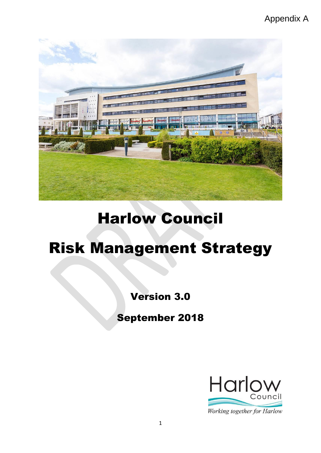# Appendix A



# Harlow Council

# Risk Management Strategy

# Version 3.0

# September 2018

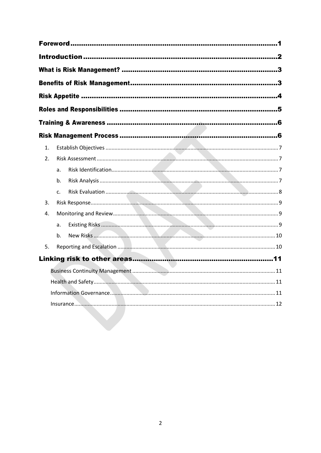| 1. |    |  |  |  |  |  |
|----|----|--|--|--|--|--|
| 2. |    |  |  |  |  |  |
|    | a. |  |  |  |  |  |
|    | b. |  |  |  |  |  |
|    | c. |  |  |  |  |  |
| 3. |    |  |  |  |  |  |
| 4. |    |  |  |  |  |  |
|    | a. |  |  |  |  |  |
|    | b. |  |  |  |  |  |
| 5. |    |  |  |  |  |  |
|    |    |  |  |  |  |  |
|    |    |  |  |  |  |  |
|    |    |  |  |  |  |  |
|    |    |  |  |  |  |  |
|    |    |  |  |  |  |  |
|    |    |  |  |  |  |  |
|    |    |  |  |  |  |  |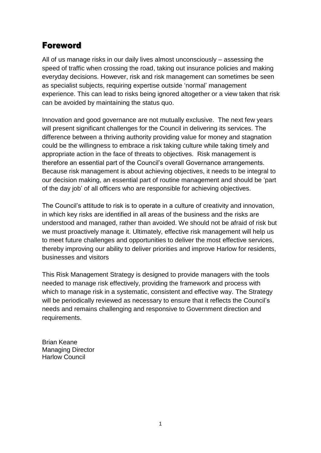# <span id="page-2-0"></span>**Foreword**

All of us manage risks in our daily lives almost unconsciously – assessing the speed of traffic when crossing the road, taking out insurance policies and making everyday decisions. However, risk and risk management can sometimes be seen as specialist subjects, requiring expertise outside 'normal' management experience. This can lead to risks being ignored altogether or a view taken that risk can be avoided by maintaining the status quo.

Innovation and good governance are not mutually exclusive. The next few years will present significant challenges for the Council in delivering its services. The difference between a thriving authority providing value for money and stagnation could be the willingness to embrace a risk taking culture while taking timely and appropriate action in the face of threats to objectives. Risk management is therefore an essential part of the Council's overall Governance arrangements. Because risk management is about achieving objectives, it needs to be integral to our decision making, an essential part of routine management and should be 'part of the day job' of all officers who are responsible for achieving objectives.

The Council's attitude to risk is to operate in a culture of creativity and innovation, in which key risks are identified in all areas of the business and the risks are understood and managed, rather than avoided. We should not be afraid of risk but we must proactively manage it. Ultimately, effective risk management will help us to meet future challenges and opportunities to deliver the most effective services, thereby improving our ability to deliver priorities and improve Harlow for residents, businesses and visitors

This Risk Management Strategy is designed to provide managers with the tools needed to manage risk effectively, providing the framework and process with which to manage risk in a systematic, consistent and effective way. The Strategy will be periodically reviewed as necessary to ensure that it reflects the Council's needs and remains challenging and responsive to Government direction and requirements.

Brian Keane Managing Director Harlow Council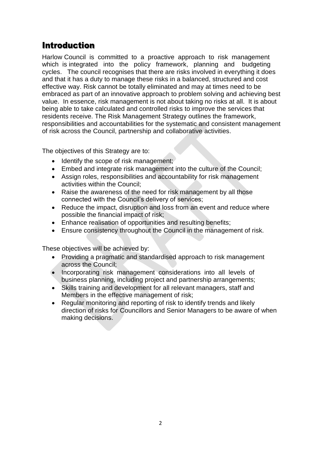# <span id="page-3-0"></span>**Introduction**

Harlow Council is committed to a proactive approach to risk management which is integrated into the policy framework, planning and budgeting cycles. The council recognises that there are risks involved in everything it does and that it has a duty to manage these risks in a balanced, structured and cost effective way. Risk cannot be totally eliminated and may at times need to be embraced as part of an innovative approach to problem solving and achieving best value. In essence, risk management is not about taking no risks at all. It is about being able to take calculated and controlled risks to improve the services that residents receive. The Risk Management Strategy outlines the framework, responsibilities and accountabilities for the systematic and consistent management of risk across the Council, partnership and collaborative activities.

The objectives of this Strategy are to:

- Identify the scope of risk management;
- Embed and integrate risk management into the culture of the Council;
- Assign roles, responsibilities and accountability for risk management activities within the Council;
- Raise the awareness of the need for risk management by all those connected with the Council's delivery of services;
- Reduce the impact, disruption and loss from an event and reduce where possible the financial impact of risk;
- Enhance realisation of opportunities and resulting benefits;
- Ensure consistency throughout the Council in the management of risk.

These objectives will be achieved by:

- Providing a pragmatic and standardised approach to risk management across the Council;
- Incorporating risk management considerations into all levels of business planning, including project and partnership arrangements;
- Skills training and development for all relevant managers, staff and Members in the effective management of risk;
- Regular monitoring and reporting of risk to identify trends and likely direction of risks for Councillors and Senior Managers to be aware of when making decisions.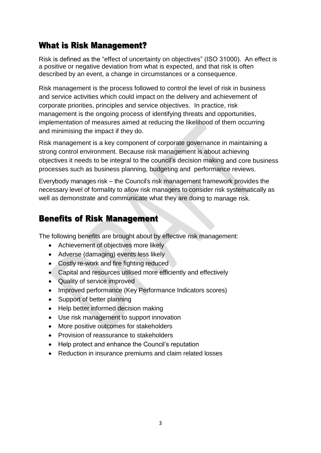# <span id="page-4-0"></span>**What is Risk Management?**

Risk is defined as the "effect of uncertainty on objectives" (ISO 31000). An effect is a positive or negative deviation from what is expected, and that risk is often described by an event, a change in circumstances or a consequence.

Risk management is the process followed to control the level of risk in business and service activities which could impact on the delivery and achievement of corporate priorities, principles and service objectives. In practice, risk management is the ongoing process of identifying threats and opportunities, implementation of measures aimed at reducing the likelihood of them occurring and minimising the impact if they do.

Risk management is a key component of corporate governance in maintaining a strong control environment. Because risk management is about achieving objectives it needs to be integral to the council's decision making and core business processes such as business planning, budgeting and performance reviews.

Everybody manages risk – the Council's risk management framework provides the necessary level of formality to allow risk managers to consider risk systematically as well as demonstrate and communicate what they are doing to manage risk.

# <span id="page-4-1"></span>**Benefits of Risk Management**

The following benefits are brought about by effective risk management:

- Achievement of objectives more likely
- Adverse (damaging) events less likely
- Costly re-work and fire fighting reduced
- Capital and resources utilised more efficiently and effectively
- Quality of service improved
- Improved performance (Key Performance Indicators scores)
- Support of better planning
- Help better informed decision making
- Use risk management to support innovation
- More positive outcomes for stakeholders
- Provision of reassurance to stakeholders
- Help protect and enhance the Council's reputation
- Reduction in insurance premiums and claim related losses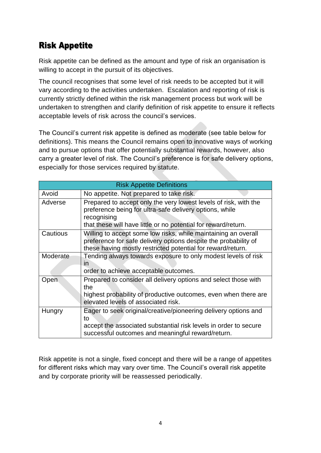# <span id="page-5-0"></span>**Risk Appetite**

Risk appetite can be defined as the amount and type of risk an organisation is willing to accept in the pursuit of its objectives.

The council recognises that some level of risk needs to be accepted but it will vary according to the activities undertaken. Escalation and reporting of risk is currently strictly defined within the risk management process but work will be undertaken to strengthen and clarify definition of risk appetite to ensure it reflects acceptable levels of risk across the council's services.

The Council's current risk appetite is defined as moderate (see table below for definitions). This means the Council remains open to innovative ways of working and to pursue options that offer potentially substantial rewards, however, also carry a greater level of risk. The Council's preference is for safe delivery options, especially for those services required by statute.

| <b>Risk Appetite Definitions</b> |                                                                                                                                                                                                              |  |  |  |  |
|----------------------------------|--------------------------------------------------------------------------------------------------------------------------------------------------------------------------------------------------------------|--|--|--|--|
| Avoid                            | No appetite. Not prepared to take risk.                                                                                                                                                                      |  |  |  |  |
| Adverse                          | Prepared to accept only the very lowest levels of risk, with the<br>preference being for ultra-safe delivery options, while<br>recognising<br>that these will have little or no potential for reward/return. |  |  |  |  |
| Cautious                         | Willing to accept some low risks, while maintaining an overall<br>preference for safe delivery options despite the probability of<br>these having mostly restricted potential for reward/return.             |  |  |  |  |
| Moderate                         | Tending always towards exposure to only modest levels of risk<br>in<br>order to achieve acceptable outcomes.                                                                                                 |  |  |  |  |
| Open                             | Prepared to consider all delivery options and select those with<br>the<br>highest probability of productive outcomes, even when there are<br>elevated levels of associated risk.                             |  |  |  |  |
| Hungry                           | Eager to seek original/creative/pioneering delivery options and<br>to<br>accept the associated substantial risk levels in order to secure<br>successful outcomes and meaningful reward/return.               |  |  |  |  |

Risk appetite is not a single, fixed concept and there will be a range of appetites for different risks which may vary over time. The Council's overall risk appetite and by corporate priority will be reassessed periodically.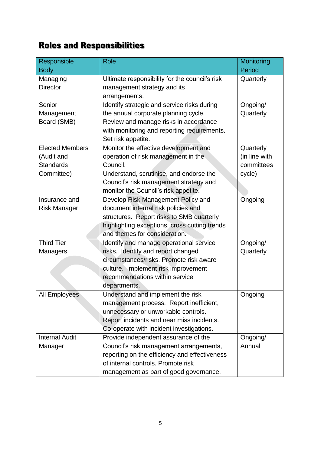# <span id="page-6-0"></span>**Roles and Responsibilities**

| Responsible            | <b>Role</b>                                    | Monitoring    |  |
|------------------------|------------------------------------------------|---------------|--|
| <b>Body</b>            |                                                | Period        |  |
| Managing               | Ultimate responsibility for the council's risk | Quarterly     |  |
| <b>Director</b>        | management strategy and its                    |               |  |
|                        | arrangements.                                  |               |  |
| Senior                 | Identify strategic and service risks during    | Ongoing/      |  |
| Management             | the annual corporate planning cycle.           | Quarterly     |  |
| Board (SMB)            | Review and manage risks in accordance          |               |  |
|                        | with monitoring and reporting requirements.    |               |  |
|                        | Set risk appetite.                             |               |  |
| <b>Elected Members</b> | Monitor the effective development and          | Quarterly     |  |
| (Audit and             | operation of risk management in the            | (in line with |  |
| <b>Standards</b>       | Council.                                       | committees    |  |
| Committee)             | Understand, scrutinise, and endorse the        | cycle)        |  |
|                        | Council's risk management strategy and         |               |  |
|                        | monitor the Council's risk appetite.           |               |  |
| Insurance and          | Develop Risk Management Policy and             | Ongoing       |  |
| <b>Risk Manager</b>    | document internal risk policies and            |               |  |
|                        | structures. Report risks to SMB quarterly      |               |  |
|                        | highlighting exceptions, cross cutting trends  |               |  |
|                        | and themes for consideration.                  |               |  |
| Third Tier             | Identify and manage operational service        | Ongoing/      |  |
| Managers               | risks. Identify and report changed             | Quarterly     |  |
|                        | circumstances/risks. Promote risk aware        |               |  |
|                        | culture. Implement risk improvement            |               |  |
|                        | recommendations within service                 |               |  |
|                        | departments.                                   |               |  |
| <b>All Employees</b>   | Understand and implement the risk              | Ongoing       |  |
|                        | management process. Report inefficient,        |               |  |
|                        | unnecessary or unworkable controls.            |               |  |
|                        | Report incidents and near miss incidents.      |               |  |
|                        | Co-operate with incident investigations.       |               |  |
| <b>Internal Audit</b>  | Provide independent assurance of the           | Ongoing/      |  |
| Manager                | Council's risk management arrangements,        | Annual        |  |
|                        | reporting on the efficiency and effectiveness  |               |  |
|                        | of internal controls. Promote risk             |               |  |
|                        | management as part of good governance.         |               |  |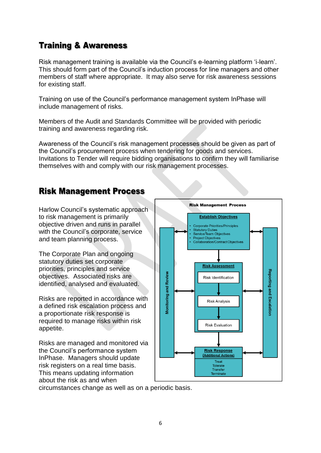# <span id="page-7-0"></span>**Training & Awareness**

Risk management training is available via the Council's e-learning platform 'i-learn'. This should form part of the Council's induction process for line managers and other members of staff where appropriate. It may also serve for risk awareness sessions for existing staff.

Training on use of the Council's performance management system InPhase will include management of risks.

Members of the Audit and Standards Committee will be provided with periodic training and awareness regarding risk.

Awareness of the Council's risk management processes should be given as part of the Council's procurement process when tendering for goods and services. Invitations to Tender will require bidding organisations to confirm they will familiarise themselves with and comply with our risk management processes.

# <span id="page-7-1"></span>**Risk Management Process**

Harlow Council's systematic approach to risk management is primarily objective driven and runs in parallel with the Council's corporate, service and team planning process.

The Corporate Plan and ongoing statutory duties set corporate priorities, principles and service objectives. Associated risks are identified, analysed and evaluated.

Risks are reported in accordance with a defined risk escalation process and a proportionate risk response is required to manage risks within risk appetite.

Risks are managed and monitored via the Council's performance system InPhase. Managers should update risk registers on a real time basis. This means updating information about the risk as and when



circumstances change as well as on a periodic basis.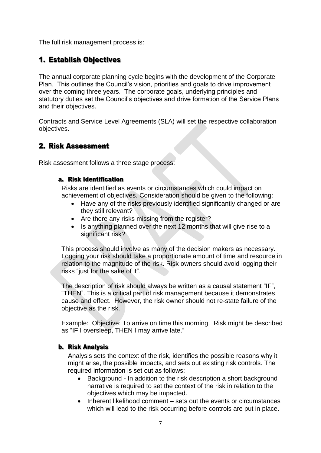The full risk management process is:

### <span id="page-8-0"></span>1. Establish Objectives

The annual corporate planning cycle begins with the development of the Corporate Plan. This outlines the Council's vision, priorities and goals to drive improvement over the coming three years. The corporate goals, underlying principles and statutory duties set the Council's objectives and drive formation of the Service Plans and their objectives.

Contracts and Service Level Agreements (SLA) will set the respective collaboration objectives.

### <span id="page-8-1"></span>2. Risk Assessment

<span id="page-8-2"></span>Risk assessment follows a three stage process:

#### a. Risk Identification

Risks are identified as events or circumstances which could impact on achievement of objectives. Consideration should be given to the following:

- Have any of the risks previously identified significantly changed or are they still relevant?
- Are there any risks missing from the register?
- Is anything planned over the next 12 months that will give rise to a significant risk?

This process should involve as many of the decision makers as necessary. Logging your risk should take a proportionate amount of time and resource in relation to the magnitude of the risk. Risk owners should avoid logging their risks "just for the sake of it".

The description of risk should always be written as a causal statement "IF", "THEN". This is a critical part of risk management because it demonstrates cause and effect. However, the risk owner should not re-state failure of the objective as the risk.

Example: Objective: To arrive on time this morning. Risk might be described as "IF I oversleep, THEN I may arrive late."

#### <span id="page-8-3"></span>**b. Risk Analysis**

Analysis sets the context of the risk, identifies the possible reasons why it might arise, the possible impacts, and sets out existing risk controls. The required information is set out as follows:

- Background In addition to the risk description a short background narrative is required to set the context of the risk in relation to the objectives which may be impacted.
- Inherent likelihood comment sets out the events or circumstances which will lead to the risk occurring before controls are put in place.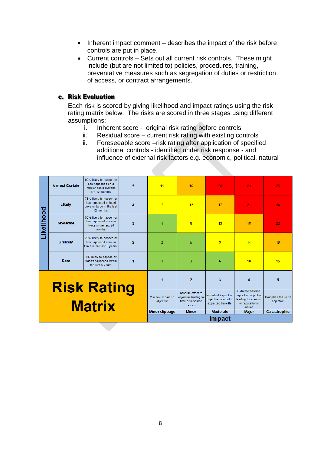- $\bullet$  Inherent impact comment describes the impact of the risk before controls are put in place.
- Current controls Sets out all current risk controls. These might include (but are not limited to) policies, procedures, training, preventative measures such as segregation of duties or restriction of access, or contract arrangements.

#### <span id="page-9-0"></span>c. Risk Evaluation

Each risk is scored by giving likelihood and impact ratings using the risk rating matrix below. The risks are scored in three stages using different assumptions:

- i. Inherent score original risk rating before controls
- ii. Residual score current risk rating with existing controls
- iii. Foreseeable score –risk rating after application of specified additional controls - identified under risk response - and influence of external risk factors e.g. economic, political, natural

| last 12 months.<br>75% likely to happen or<br>has happened at least<br>$\overline{7}$<br>Likely<br>12<br>17<br>21<br>$\boldsymbol{\Lambda}$<br>once or twice in the last<br>Likelihood<br>12 months.<br>50% likely to happen or<br>has happened once or<br>Moderate<br>3<br>$\overline{4}$<br>$\overline{8}$<br>13<br>18<br>twice in the last 24<br>months.<br>20% likely to happen or<br><b>Unlikely</b><br>$\overline{2}$<br>$\overline{2}$<br>5<br>9<br>has happened once or<br>14<br>twice in the last 5 years.<br>5% likely to happen or<br>Rare<br>hasn't happened within<br>3<br>6<br>10<br>1<br>1<br>the last 5 years.<br>$\overline{2}$<br>3<br>$\boldsymbol{\Lambda}$<br><b>Risk Rating</b><br>Extreme adverse<br>Adverse effect to<br>Important impact on<br>impact on objective<br>Minimal impact to<br>objective leading to<br>objective or most of<br>leading to financial<br>time or resource<br>objective<br><b>Matrix</b><br>expected benefts.<br>or reputational<br><i>issues</i><br><b>issues</b> |  |                       |                        |   | <b>Impact</b>  |              |                 |              |                                                  |
|----------------------------------------------------------------------------------------------------------------------------------------------------------------------------------------------------------------------------------------------------------------------------------------------------------------------------------------------------------------------------------------------------------------------------------------------------------------------------------------------------------------------------------------------------------------------------------------------------------------------------------------------------------------------------------------------------------------------------------------------------------------------------------------------------------------------------------------------------------------------------------------------------------------------------------------------------------------------------------------------------------------------|--|-----------------------|------------------------|---|----------------|--------------|-----------------|--------------|--------------------------------------------------|
|                                                                                                                                                                                                                                                                                                                                                                                                                                                                                                                                                                                                                                                                                                                                                                                                                                                                                                                                                                                                                      |  |                       |                        |   | Minor slippage | <b>Minor</b> | <b>Moderate</b> | <b>Major</b> | Complete failure of<br>objective<br>Catastrophic |
|                                                                                                                                                                                                                                                                                                                                                                                                                                                                                                                                                                                                                                                                                                                                                                                                                                                                                                                                                                                                                      |  |                       |                        |   |                |              |                 |              | 5                                                |
|                                                                                                                                                                                                                                                                                                                                                                                                                                                                                                                                                                                                                                                                                                                                                                                                                                                                                                                                                                                                                      |  |                       |                        |   |                |              |                 |              | 15                                               |
|                                                                                                                                                                                                                                                                                                                                                                                                                                                                                                                                                                                                                                                                                                                                                                                                                                                                                                                                                                                                                      |  |                       |                        |   |                |              |                 |              | 19                                               |
|                                                                                                                                                                                                                                                                                                                                                                                                                                                                                                                                                                                                                                                                                                                                                                                                                                                                                                                                                                                                                      |  |                       |                        |   |                |              |                 |              | 22                                               |
|                                                                                                                                                                                                                                                                                                                                                                                                                                                                                                                                                                                                                                                                                                                                                                                                                                                                                                                                                                                                                      |  |                       |                        |   |                |              |                 |              | 24                                               |
| 99% likely to happen or<br>has happened on a                                                                                                                                                                                                                                                                                                                                                                                                                                                                                                                                                                                                                                                                                                                                                                                                                                                                                                                                                                         |  | <b>Almost Certain</b> | requiar basis over the | 5 | 11             | 16           | 20              | 23           | 25                                               |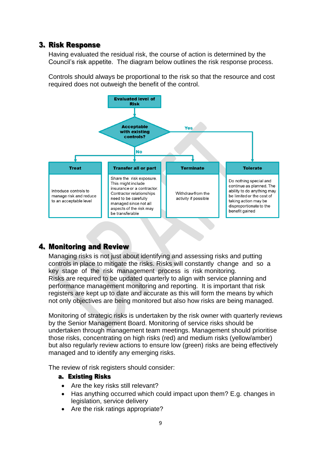### <span id="page-10-0"></span>**3. Risk Response**

Having evaluated the residual risk, the course of action is determined by the Council's risk appetite. The diagram below outlines the risk response process.

Controls should always be proportional to the risk so that the resource and cost required does not outweigh the benefit of the control.



### <span id="page-10-1"></span>4. Monitoring and Review

Managing risks is not just about identifying and assessing risks and putting controls in place to mitigate the risks. Risks will constantly change and so a key stage of the risk management process is risk monitoring. Risks are required to be updated quarterly to align with service planning and performance management monitoring and reporting. It is important that risk registers are kept up to date and accurate as this will form the means by which not only objectives are being monitored but also how risks are being managed.

Monitoring of strategic risks is undertaken by the risk owner with quarterly reviews by the Senior Management Board. Monitoring of service risks should be undertaken through management team meetings. Management should prioritise those risks, concentrating on high risks (red) and medium risks (yellow/amber) but also regularly review actions to ensure low (green) risks are being effectively managed and to identify any emerging risks.

<span id="page-10-2"></span>The review of risk registers should consider:

#### a. Existing Risks

- Are the key risks still relevant?
- Has anything occurred which could impact upon them? E.g. changes in legislation, service delivery
- Are the risk ratings appropriate?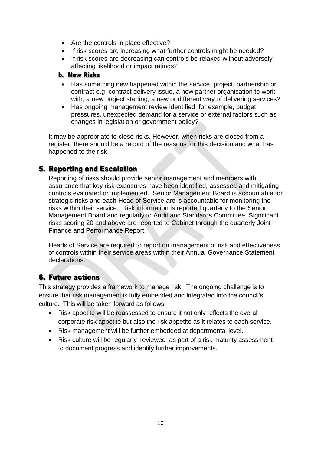- Are the controls in place effective?
- If risk scores are increasing what further controls might be needed?
- If risk scores are decreasing can controls be relaxed without adversely affecting likelihood or impact ratings?

#### <span id="page-11-0"></span>**b.** New Risks

- Has something new happened within the service, project, partnership or contract e.g. contract delivery issue, a new partner organisation to work with, a new project starting, a new or different way of delivering services?
- Has ongoing management review identified, for example, budget pressures, unexpected demand for a service or external factors such as changes in legislation or government policy?

It may be appropriate to close risks. However, when risks are closed from a register, there should be a record of the reasons for this decision and what has happened to the risk.

### <span id="page-11-1"></span>**5. Reporting and Escalation**

Reporting of risks should provide senior management and members with assurance that key risk exposures have been identified, assessed and mitigating controls evaluated or implemented. Senior Management Board is accountable for strategic risks and each Head of Service are is accountable for monitoring the risks within their service. Risk information is reported quarterly to the Senior Management Board and regularly to Audit and Standards Committee. Significant risks scoring 20 and above are reported to Cabinet through the quarterly Joint Finance and Performance Report.

Heads of Service are required to report on management of risk and effectiveness of controls within their service areas within their Annual Governance Statement declarations.

# **6. Future actions**

This strategy provides a framework to manage risk. The ongoing challenge is to ensure that risk management is fully embedded and integrated into the council's culture. This will be taken forward as follows:

- Risk appetite will be reassessed to ensure it not only reflects the overall corporate risk appetite but also the risk appetite as it relates to each service.
- Risk management will be further embedded at departmental level.
- Risk culture will be regularly reviewed as part of a risk maturity assessment to document progress and identify further improvements.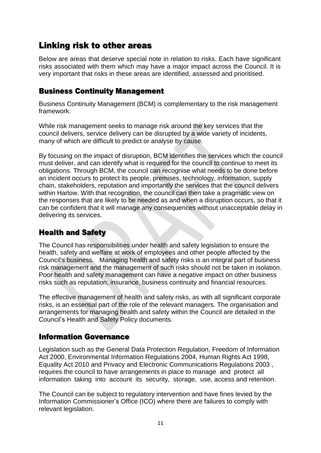# <span id="page-12-0"></span>Linking risk to other areas

Below are areas that deserve special note in relation to risks. Each have significant risks associated with them which may have a major impact across the Council. It is very important that risks in these areas are identified, assessed and prioritised.

## <span id="page-12-1"></span>**Business Continuity Management**

Business Continuity Management (BCM) is complementary to the risk management framework.

While risk management seeks to manage risk around the key services that the council delivers, service delivery can be disrupted by a wide variety of incidents, many of which are difficult to predict or analyse by cause.

By focusing on the impact of disruption, BCM identifies the services which the council must deliver, and can identify what is required for the council to continue to meet its obligations. Through BCM, the council can recognise what needs to be done before an incident occurs to protect its people, premises, technology, information, supply chain, stakeholders, reputation and importantly the services that the council delivers within Harlow. With that recognition, the council can then take a pragmatic view on the responses that are likely to be needed as and when a disruption occurs, so that it can be confident that it will manage any consequences without unacceptable delay in delivering its services.

# <span id="page-12-2"></span>**Health and Safety**

The Council has responsibilities under health and safety legislation to ensure the health, safety and welfare at work of employees and other people affected by the Council's business. Managing health and safety risks is an integral part of business risk management and the management of such risks should not be taken in isolation. Poor health and safety management can have a negative impact on other business risks such as reputation, insurance, business continuity and financial resources.

The effective management of health and safety risks, as with all significant corporate risks, is an essential part of the role of the relevant managers. The organisation and arrangements for managing health and safety within the Council are detailed in the Council's Health and Safety Policy documents.

### <span id="page-12-3"></span>**Information Governance**

Legislation such as the General Data Protection Regulation, Freedom of Information Act 2000, Environmental Information Regulations 2004, Human Rights Act 1998, Equality Act 2010 and Privacy and Electronic Communications Regulations 2003 , requires the council to have arrangements in place to manage and protect all information taking into account its security, storage, use, access and retention.

The Council can be subject to regulatory intervention and have fines levied by the Information Commissioner's Office (ICO) where there are failures to comply with relevant legislation.